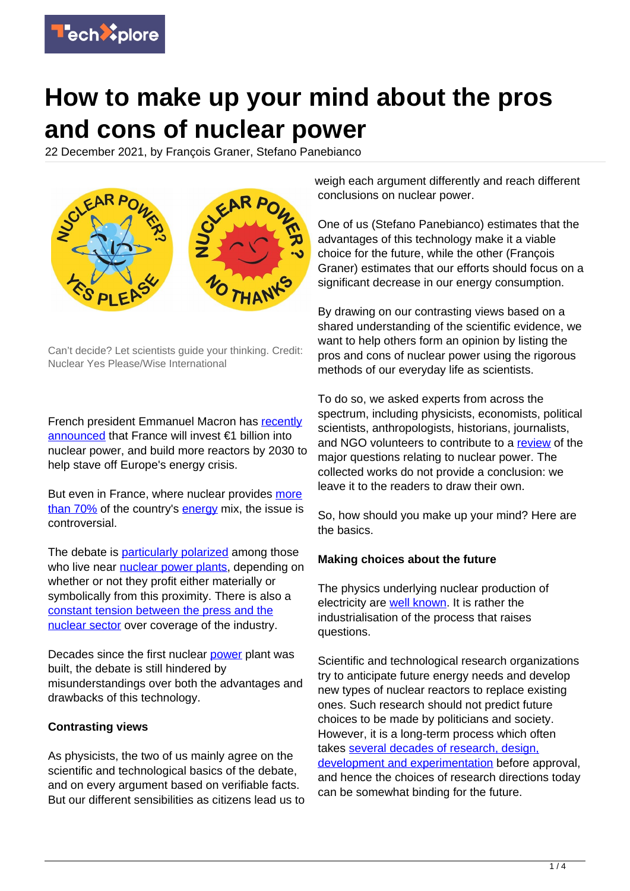

# **How to make up your mind about the pros and cons of nuclear power**

22 December 2021, by François Graner, Stefano Panebianco



Can't decide? Let scientists guide your thinking. Credit: Nuclear Yes Please/Wise International

French president Emmanuel Macron has [recently](https://www.reuters.com/business/energy/macron-says-france-will-build-more-nuclear-energy-reactors-2021-11-09/) [announced](https://www.reuters.com/business/energy/macron-says-france-will-build-more-nuclear-energy-reactors-2021-11-09/) that France will invest €1 billion into nuclear power, and build more reactors by 2030 to help stave off Europe's energy crisis.

But even in France, where nuclear provides [more](https://www.ft.com/content/d06500e2-7fd2-4753-a54b-bc16f1faadd8) [than 70%](https://www.ft.com/content/d06500e2-7fd2-4753-a54b-bc16f1faadd8) of the country's [energy](https://techxplore.com/tags/energy/) mix, the issue is controversial.

The debate is [particularly polarized](https://www.refletsdelaphysique.fr/images/stories/news/60-en/Reflets-60_EN_Taking-part.pdf) among those who live near [nuclear power plants,](https://techxplore.com/tags/nuclear+power+plants/) depending on whether or not they profit either materially or symbolically from this proximity. There is also a [constant tension between the press and the](https://www.refletsdelaphysique.fr/images/stories/news/60-en/Reflets-60_EN_The-constant-tension-between-the-press-and-nuclear-power.pdf) [nuclear sector](https://www.refletsdelaphysique.fr/images/stories/news/60-en/Reflets-60_EN_The-constant-tension-between-the-press-and-nuclear-power.pdf) over coverage of the industry.

Decades since the first nuclear [power](https://techxplore.com/tags/power/) plant was built, the debate is still hindered by misunderstandings over both the advantages and drawbacks of this technology.

### **Contrasting views**

As physicists, the two of us mainly agree on the scientific and technological basics of the debate, and on every argument based on verifiable facts. But our different sensibilities as citizens lead us to weigh each argument differently and reach different conclusions on nuclear power.

One of us (Stefano Panebianco) estimates that the advantages of this technology make it a viable choice for the future, while the other (François Graner) estimates that our efforts should focus on a significant decrease in our energy consumption.

By drawing on our contrasting views based on a shared understanding of the scientific evidence, we want to help others form an opinion by listing the pros and cons of nuclear power using the rigorous methods of our everyday life as scientists.

To do so, we asked experts from across the spectrum, including physicists, economists, political scientists, anthropologists, historians, journalists, and NGO volunteers to contribute to a [review](https://www.refletsdelaphysique.fr/dossiers/256-nuclear-power-open-ended-questions-and-points-of-view) of the major questions relating to nuclear power. The collected works do not provide a conclusion: we leave it to the readers to draw their own.

So, how should you make up your mind? Here are the basics.

#### **Making choices about the future**

The physics underlying nuclear production of electricity are [well known](https://www.refletsdelaphysique.fr/images/stories/news/60-en/Reflets-60_EN_Electronuclear-technology-in-France-today.pdf). It is rather the industrialisation of the process that raises questions.

Scientific and technological research organizations try to anticipate future energy needs and develop new types of nuclear reactors to replace existing ones. Such research should not predict future choices to be made by politicians and society. However, it is a long-term process which often takes [several decades of research, design,](https://www.refletsdelaphysique.fr/images/stories/news/60-en/Reflets-60_EN_New-nuclear-reactor-designs.pdf) [development and experimentation](https://www.refletsdelaphysique.fr/images/stories/news/60-en/Reflets-60_EN_New-nuclear-reactor-designs.pdf) before approval, and hence the choices of research directions today can be somewhat binding for the future.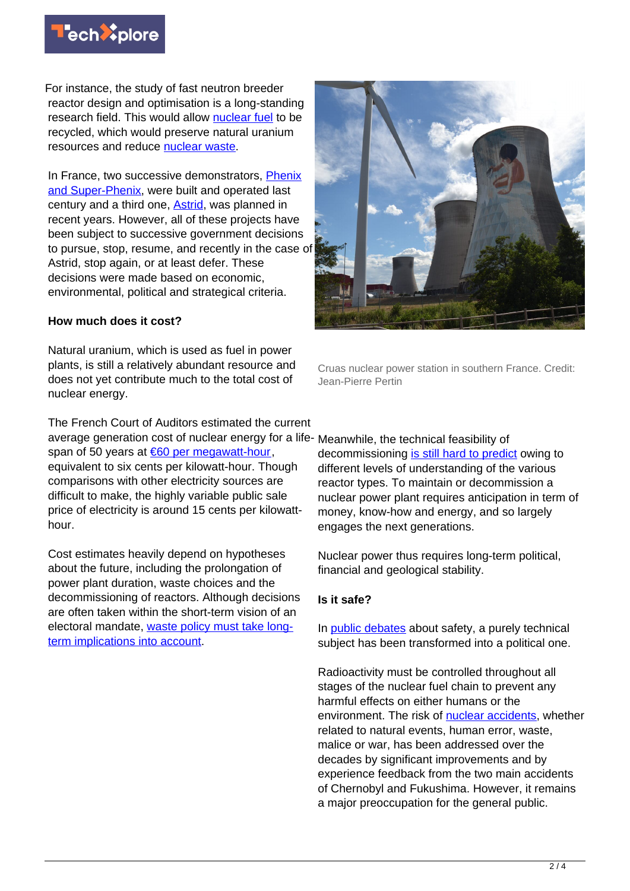

For instance, the study of fast neutron breeder reactor design and optimisation is a long-standing research field. This would allow [nuclear fuel](https://techxplore.com/tags/nuclear+fuel/) to be recycled, which would preserve natural uranium resources and reduce [nuclear waste.](https://techxplore.com/tags/nuclear+waste/)

In France, two successive demonstrators, [Phenix](http://large.stanford.edu/courses/2011/ph241/abdul-kafi1/) [and Super-Phenix](http://large.stanford.edu/courses/2011/ph241/abdul-kafi1/), were built and operated last century and a third one, [Astrid](https://www.reuters.com/article/us-france-nuclearpower-astrid-idUSKCN1VK0MC), was planned in recent years. However, all of these projects have been subject to successive government decisions to pursue, stop, resume, and recently in the case of Astrid, stop again, or at least defer. These decisions were made based on economic, environmental, political and strategical criteria.

#### **How much does it cost?**

Natural uranium, which is used as fuel in power plants, is still a relatively abundant resource and does not yet contribute much to the total cost of nuclear energy.

The French Court of Auditors estimated the current average generation cost of nuclear energy for a life-Meanwhile, the technical feasibility of span of 50 years at [€60 per megawatt-hour,](https://www.refletsdelaphysique.fr/images/stories/news/60-en/Reflets-60_EN_The-Cost-of-Generating-Nuclear-Electricity.pdf) equivalent to six cents per kilowatt-hour. Though comparisons with other electricity sources are difficult to make, the highly variable public sale price of electricity is around 15 cents per kilowatthour.

Cost estimates heavily depend on hypotheses about the future, including the prolongation of power plant duration, waste choices and the decommissioning of reactors. Although decisions are often taken within the short-term vision of an electoral mandate, [waste policy must take long](https://www.refletsdelaphysique.fr/images/stories/news/60-en/Reflets-60_EN_Managing-radioactive-waste.pdf)[term implications into account](https://www.refletsdelaphysique.fr/images/stories/news/60-en/Reflets-60_EN_Managing-radioactive-waste.pdf).



Cruas nuclear power station in southern France. Credit: Jean-Pierre Pertin

decommissioning [is still hard to predict](https://www.refletsdelaphysique.fr/images/stories/news/60-en/Reflets-60_EN_Decommissioning-nuclear-facilities.pdf) owing to different levels of understanding of the various reactor types. To maintain or decommission a nuclear power plant requires anticipation in term of money, know-how and energy, and so largely engages the next generations.

Nuclear power thus requires long-term political, financial and geological stability.

#### **Is it safe?**

In [public debates](https://www.refletsdelaphysique.fr/images/stories/news/60-en/Reflets-60_EN_Radioactivity-in-the-environment.pdf) about safety, a purely technical subject has been transformed into a political one.

Radioactivity must be controlled throughout all stages of the nuclear fuel chain to prevent any harmful effects on either humans or the environment. The risk of [nuclear accidents](https://www.refletsdelaphysique.fr/images/stories/news/60-en/Reflets-60_EN_The-risk-of-nuclear-accidents.pdf), whether related to natural events, human error, waste, malice or war, has been addressed over the decades by significant improvements and by experience feedback from the two main accidents of Chernobyl and Fukushima. However, it remains a major preoccupation for the general public.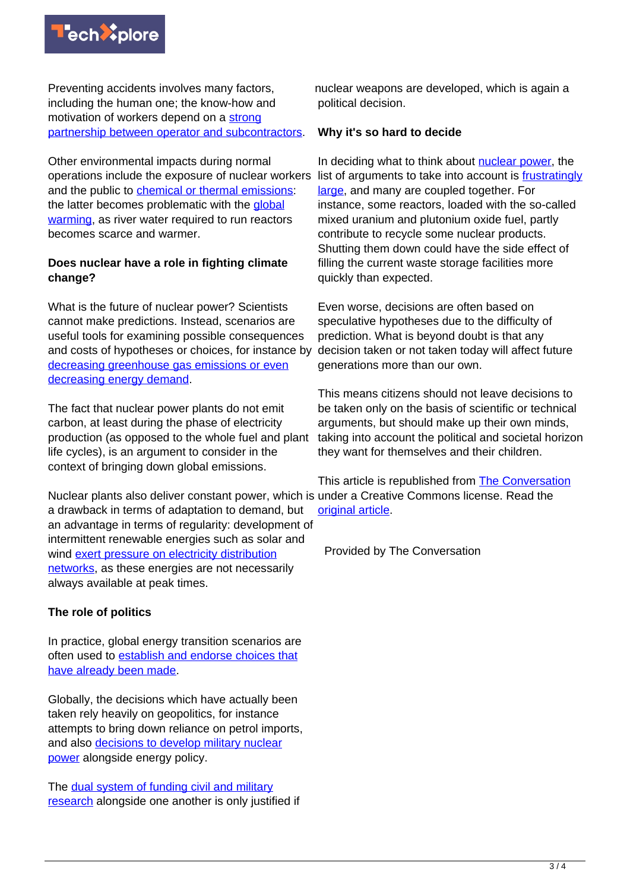

Preventing accidents involves many factors, including the human one; the know-how and motivation of workers depend on a [strong](https://www.refletsdelaphysique.fr/images/stories/news/60-en/Reflets-60_EN_Subcontracting-and-quality.pdf) [partnership between operator and subcontractors.](https://www.refletsdelaphysique.fr/images/stories/news/60-en/Reflets-60_EN_Subcontracting-and-quality.pdf)

Other environmental impacts during normal operations include the exposure of nuclear workers and the public to [chemical or thermal emissions](https://www.refletsdelaphysique.fr/images/stories/news/60-en/Reflets-60_EN_The-impact-of-nuclear-power-plants-under-normal-operation-on-health-and-the-environment.pdf): the latter becomes problematic with the [global](https://techxplore.com/tags/global+warming/) [warming,](https://techxplore.com/tags/global+warming/) as river water required to run reactors becomes scarce and warmer.

## **Does nuclear have a role in fighting climate change?**

What is the future of nuclear power? Scientists cannot make predictions. Instead, scenarios are useful tools for examining possible consequences and costs of hypotheses or choices, for instance by [decreasing greenhouse gas emissions or even](https://www.refletsdelaphysique.fr/images/stories/news/60-en/Reflets-60_EN_Envisioning-the-energy-future.pdf) [decreasing energy demand.](https://www.refletsdelaphysique.fr/images/stories/news/60-en/Reflets-60_EN_Envisioning-the-energy-future.pdf)

The fact that nuclear power plants do not emit carbon, at least during the phase of electricity production (as opposed to the whole fuel and plant life cycles), is an argument to consider in the context of bringing down global emissions.

Nuclear plants also deliver constant power, which is under a Creative Commons license. Read the a drawback in terms of adaptation to demand, but an advantage in terms of regularity: development of intermittent renewable energies such as solar and wind [exert pressure on electricity distribution](https://www.refletsdelaphysique.fr/images/stories/news/60-en/Reflets-60_EN_Electricity-transmission.pdf) [networks](https://www.refletsdelaphysique.fr/images/stories/news/60-en/Reflets-60_EN_Electricity-transmission.pdf), as these energies are not necessarily always available at peak times.

## **The role of politics**

In practice, global energy transition scenarios are often used to [establish and endorse choices that](https://www.refletsdelaphysique.fr/images/stories/news/60-en/Reflets-60_EN_Nuclear-power-in-global-energy-transition-scenarios.pdf) [have already been made](https://www.refletsdelaphysique.fr/images/stories/news/60-en/Reflets-60_EN_Nuclear-power-in-global-energy-transition-scenarios.pdf).

Globally, the decisions which have actually been taken rely heavily on geopolitics, for instance attempts to bring down reliance on petrol imports, and also [decisions to develop military nuclear](https://www.refletsdelaphysique.fr/images/stories/news/60-en/Reflets-60_EN_The-technological-priorities-of-French-nuclear-power.pdf) [power](https://www.refletsdelaphysique.fr/images/stories/news/60-en/Reflets-60_EN_The-technological-priorities-of-French-nuclear-power.pdf) alongside energy policy.

The [dual system of funding civil and military](https://www.refletsdelaphysique.fr/images/stories/news/60-en/Reflets-60_EN_Civil-and-military-nuclear-power.pdf) [research](https://www.refletsdelaphysique.fr/images/stories/news/60-en/Reflets-60_EN_Civil-and-military-nuclear-power.pdf) alongside one another is only justified if nuclear weapons are developed, which is again a political decision.

## **Why it's so hard to decide**

In deciding what to think about [nuclear power](https://techxplore.com/tags/nuclear+power/), the list of arguments to take into account is [frustratingly](https://www.refletsdelaphysique.fr/images/stories/news/60-en/Reflets-60_EN_Some-unresolved-questions-and-unaddressed-points.pdf) [large,](https://www.refletsdelaphysique.fr/images/stories/news/60-en/Reflets-60_EN_Some-unresolved-questions-and-unaddressed-points.pdf) and many are coupled together. For instance, some reactors, loaded with the so-called mixed uranium and plutonium oxide fuel, partly contribute to recycle some nuclear products. Shutting them down could have the side effect of filling the current waste storage facilities more quickly than expected.

Even worse, decisions are often based on speculative hypotheses due to the difficulty of prediction. What is beyond doubt is that any decision taken or not taken today will affect future generations more than our own.

This means citizens should not leave decisions to be taken only on the basis of scientific or technical arguments, but should make up their own minds, taking into account the political and societal horizon they want for themselves and their children.

This article is republished from [The Conversation](https://theconversation.com) [original article](https://theconversation.com/how-to-make-up-your-mind-about-the-pros-and-cons-of-nuclear-power-172474).

Provided by The Conversation